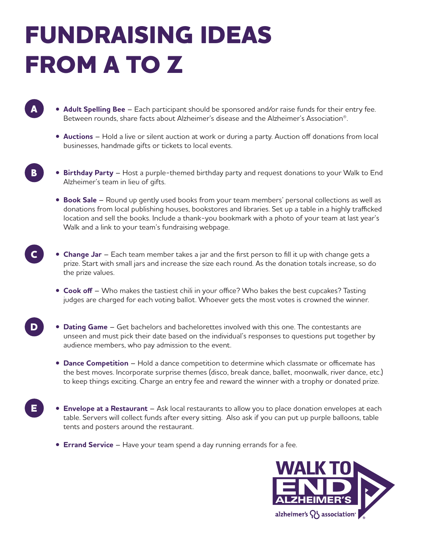## **FUNDRAISING IDEAS FROM A TO Z**

**A**

**B**

**E**

- **Adult Spelling Bee** Each participant should be sponsored and/or raise funds for their entry fee. Between rounds, share facts about Alzheimer's disease and the Alzheimer's Association®.
	- **Auctions** Hold a live or silent auction at work or during a party. Auction off donations from local businesses, handmade gifts or tickets to local events.
- **Birthday Party** Host a purple-themed birthday party and request donations to your Walk to End Alzheimer's team in lieu of gifts.
	- **Book Sale** Round up gently used books from your team members' personal collections as well as donations from local publishing houses, bookstores and libraries. Set up a table in a highly trafficked location and sell the books. Include a thank-you bookmark with a photo of your team at last year's Walk and a link to your team's fundraising webpage.
- **Change Jar** Each team member takes a jar and the first person to fill it up with change gets a prize. Start with small jars and increase the size each round. As the donation totals increase, so do the prize values. **C**
	- **Cook off**  Who makes the tastiest chili in your office? Who bakes the best cupcakes? Tasting judges are charged for each voting ballot. Whoever gets the most votes is crowned the winner.
- **Dating Game** Get bachelors and bachelorettes involved with this one. The contestants are unseen and must pick their date based on the individual's responses to questions put together by audience members, who pay admission to the event. **D**
	- **Dance Competition**  Hold a dance competition to determine which classmate or officemate has the best moves. Incorporate surprise themes (disco, break dance, ballet, moonwalk, river dance, etc.) to keep things exciting. Charge an entry fee and reward the winner with a trophy or donated prize.
	- **Envelope at a Restaurant**  Ask local restaurants to allow you to place donation envelopes at each table. Servers will collect funds after every sitting. Also ask if you can put up purple balloons, table tents and posters around the restaurant.
		- **Errand Service** Have your team spend a day running errands for a fee.

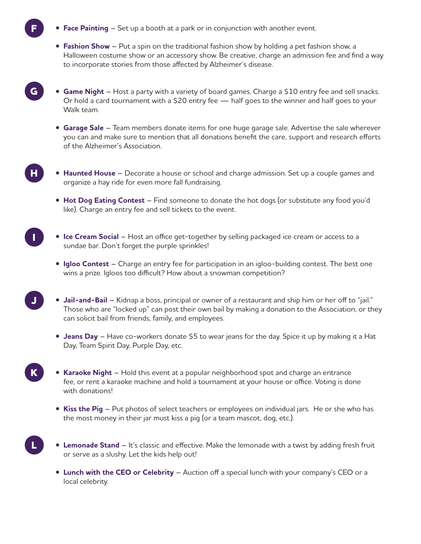**• Face Painting** – Set up a booth at a park or in conjunction with another event.

**F**

**G**

**H**

**I**

**J**

**K**

**L**

- **Fashion Show**  Put a spin on the traditional fashion show by holding a pet fashion show, a Halloween costume show or an accessory show. Be creative, charge an admission fee and find a way to incorporate stories from those affected by Alzheimer's disease.
- **Game Night** Host a party with a variety of board games. Charge a \$10 entry fee and sell snacks. Or hold a card tournament with a \$20 entry fee — half goes to the winner and half goes to your Walk team.
- **Garage Sale** Team members donate items for one huge garage sale. Advertise the sale wherever you can and make sure to mention that all donations benefit the care, support and research efforts of the Alzheimer's Association.
- **Haunted House** Decorate a house or school and charge admission. Set up a couple games and organize a hay ride for even more fall fundraising.
	- **Hot Dog Eating Contest** Find someone to donate the hot dogs (or substitute any food you'd like). Charge an entry fee and sell tickets to the event.
- **Ice Cream Social**  Host an office get-together by selling packaged ice cream or access to a sundae bar. Don't forget the purple sprinkles!
	- **Igloo Contest**  Charge an entry fee for participation in an igloo-building contest. The best one wins a prize. Igloos too difficult? How about a snowman competition?
	- **Jail-and-Bail** Kidnap a boss, principal or owner of a restaurant and ship him or her off to "jail." Those who are "locked up" can post their own bail by making a donation to the Association, or they can solicit bail from friends, family, and employees.
		- **Jeans Day**  Have co-workers donate \$5 to wear jeans for the day. Spice it up by making it a Hat Day, Team Spirit Day, Purple Day, etc.
	- **Karaoke Night**  Hold this event at a popular neighborhood spot and charge an entrance fee, or rent a karaoke machine and hold a tournament at your house or office. Voting is done with donations!
		- **Kiss the Pig** Put photos of select teachers or employees on individual jars. He or she who has the most money in their jar must kiss a pig (or a team mascot, dog, etc.).
	- **Lemonade Stand**  It's classic and effective. Make the lemonade with a twist by adding fresh fruit or serve as a slushy. Let the kids help out!
		- **Lunch with the CEO or Celebrity** Auction off a special lunch with your company's CEO or a local celebrity.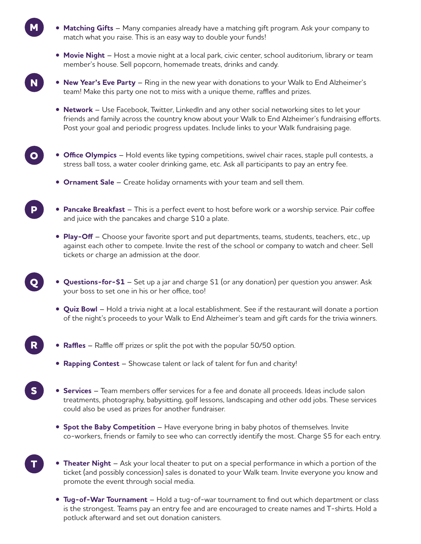- **Matching Gifts** Many companies already have a matching gift program. Ask your company to match what you raise. This is an easy way to double your funds!
- **Movie Night**  Host a movie night at a local park, civic center, school auditorium, library or team member's house. Sell popcorn, homemade treats, drinks and candy.
- **New Year's Eve Party**  Ring in the new year with donations to your Walk to End Alzheimer's team! Make this party one not to miss with a unique theme, raffles and prizes.
	- **Network** Use Facebook, Twitter, LinkedIn and any other social networking sites to let your friends and family across the country know about your Walk to End Alzheimer's fundraising efforts. Post your goal and periodic progress updates. Include links to your Walk fundraising page.
- **Office Olympics** Hold events like typing competitions, swivel chair races, staple pull contests, a stress ball toss, a water cooler drinking game, etc. Ask all participants to pay an entry fee. **O**
	- **Ornament Sale** Create holiday ornaments with your team and sell them.

**M**

**N**

**P**

**Q**

**R**

**T**

- **Pancake Breakfast** This is a perfect event to host before work or a worship service. Pair coffee and juice with the pancakes and charge \$10 a plate.
	- **Play-Off** Choose your favorite sport and put departments, teams, students, teachers, etc., up against each other to compete. Invite the rest of the school or company to watch and cheer. Sell tickets or charge an admission at the door.
	- **Questions-for-\$1** Set up a jar and charge \$1 (or any donation) per question you answer. Ask your boss to set one in his or her office, too!
		- **Quiz Bowl** Hold a trivia night at a local establishment. See if the restaurant will donate a portion of the night's proceeds to your Walk to End Alzheimer's team and gift cards for the trivia winners.
- **Raffles** Raffle off prizes or split the pot with the popular 50/50 option.
	- **Rapping Contest**  Showcase talent or lack of talent for fun and charity!
- **Services** Team members offer services for a fee and donate all proceeds. Ideas include salon treatments, photography, babysitting, golf lessons, landscaping and other odd jobs. These services could also be used as prizes for another fundraiser. **S**
	- **Spot the Baby Competition** Have everyone bring in baby photos of themselves. Invite co-workers, friends or family to see who can correctly identify the most. Charge \$5 for each entry.
	- **Theater Night** Ask your local theater to put on a special performance in which a portion of the ticket (and possibly concession) sales is donated to your Walk team. Invite everyone you know and promote the event through social media.
		- **Tug-of-War Tournament** Hold a tug-of-war tournament to find out which department or class is the strongest. Teams pay an entry fee and are encouraged to create names and T-shirts. Hold a potluck afterward and set out donation canisters.